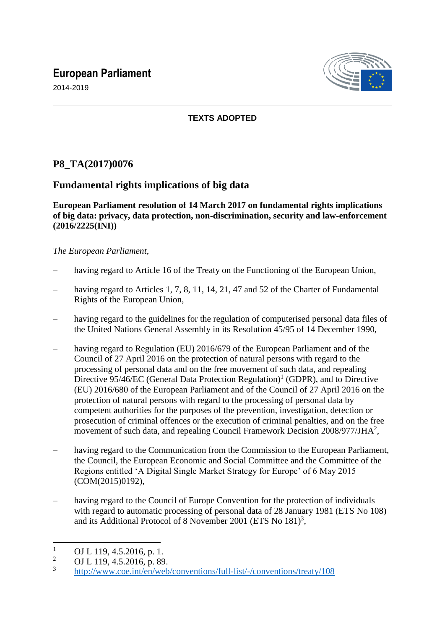# **European Parliament**



2014-2019

## **TEXTS ADOPTED**

## **P8\_TA(2017)0076**

## **Fundamental rights implications of big data**

### **European Parliament resolution of 14 March 2017 on fundamental rights implications of big data: privacy, data protection, non-discrimination, security and law-enforcement (2016/2225(INI))**

### *The European Parliament*,

- having regard to Article 16 of the Treaty on the Functioning of the European Union,
- having regard to Articles 1, 7, 8, 11, 14, 21, 47 and 52 of the Charter of Fundamental Rights of the European Union,
- having regard to the guidelines for the regulation of computerised personal data files of the United Nations General Assembly in its Resolution 45/95 of 14 December 1990,
- having regard to Regulation (EU) 2016/679 of the European Parliament and of the Council of 27 April 2016 on the protection of natural persons with regard to the processing of personal data and on the free movement of such data, and repealing Directive 95/46/EC (General Data Protection Regulation)<sup>1</sup> (GDPR), and to Directive (EU) 2016/680 of the European Parliament and of the Council of 27 April 2016 on the protection of natural persons with regard to the processing of personal data by competent authorities for the purposes of the prevention, investigation, detection or prosecution of criminal offences or the execution of criminal penalties, and on the free movement of such data, and repealing Council Framework Decision  $2008/977/JHA^2$ ,
- having regard to the Communication from the Commission to the European Parliament, the Council, the European Economic and Social Committee and the Committee of the Regions entitled 'A Digital Single Market Strategy for Europe' of 6 May 2015 (COM(2015)0192),
- having regard to the Council of Europe Convention for the protection of individuals with regard to automatic processing of personal data of 28 January 1981 (ETS No 108) and its Additional Protocol of 8 November 2001 (ETS No  $181$ )<sup>3</sup>,

 $\mathbf{1}$  $\frac{1}{2}$  OJ L 119, 4.5.2016, p. 1.

<sup>2</sup> OJ L 119, 4.5.2016, p. 89.

<sup>3</sup> <http://www.coe.int/en/web/conventions/full-list/-/conventions/treaty/108>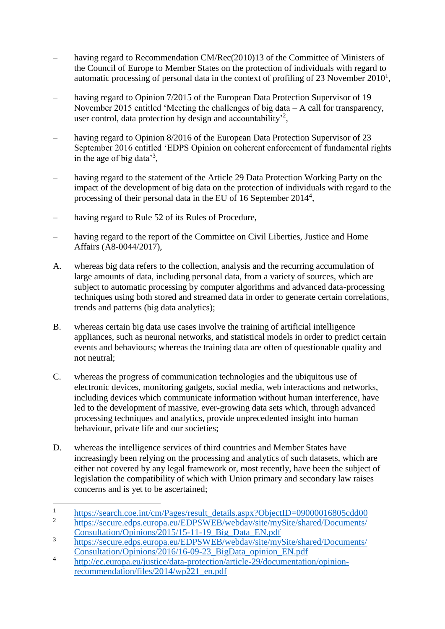- having regard to Recommendation CM/Rec(2010)13 of the Committee of Ministers of the Council of Europe to Member States on the protection of individuals with regard to automatic processing of personal data in the context of profiling of 23 November  $2010<sup>1</sup>$ ,
- having regard to Opinion 7/2015 of the European Data Protection Supervisor of 19 November 2015 entitled 'Meeting the challenges of big data – A call for transparency, user control, data protection by design and accountability<sup>2</sup>,
- having regard to Opinion 8/2016 of the European Data Protection Supervisor of 23 September 2016 entitled 'EDPS Opinion on coherent enforcement of fundamental rights in the age of big data<sup>3</sup>,
- having regard to the statement of the Article 29 Data Protection Working Party on the impact of the development of big data on the protection of individuals with regard to the processing of their personal data in the EU of 16 September 2014<sup>4</sup>,
- having regard to Rule 52 of its Rules of Procedure,

 $\overline{a}$ 

- having regard to the report of the Committee on Civil Liberties, Justice and Home Affairs (A8-0044/2017),
- A. whereas big data refers to the collection, analysis and the recurring accumulation of large amounts of data, including personal data, from a variety of sources, which are subject to automatic processing by computer algorithms and advanced data-processing techniques using both stored and streamed data in order to generate certain correlations, trends and patterns (big data analytics);
- B. whereas certain big data use cases involve the training of artificial intelligence appliances, such as neuronal networks, and statistical models in order to predict certain events and behaviours; whereas the training data are often of questionable quality and not neutral;
- C. whereas the progress of communication technologies and the ubiquitous use of electronic devices, monitoring gadgets, social media, web interactions and networks, including devices which communicate information without human interference, have led to the development of massive, ever-growing data sets which, through advanced processing techniques and analytics, provide unprecedented insight into human behaviour, private life and our societies;
- D. whereas the intelligence services of third countries and Member States have increasingly been relying on the processing and analytics of such datasets, which are either not covered by any legal framework or, most recently, have been the subject of legislation the compatibility of which with Union primary and secondary law raises concerns and is yet to be ascertained;

<sup>1</sup> [https://search.coe.int/cm/Pages/result\\_details.aspx?ObjectID=09000016805cdd00](https://search.coe.int/cm/Pages/result_details.aspx?ObjectID=09000016805cdd00) 2

[https://secure.edps.europa.eu/EDPSWEB/webdav/site/mySite/shared/Documents/](https://secure.edps.europa.eu/EDPSWEB/webdav/site/mySite/shared/Documents/Consultation/Opinions/2015/15-11-19_Big_Data_EN.pdf) [Consultation/Opinions/2015/15-11-19\\_Big\\_Data\\_EN.pdf](https://secure.edps.europa.eu/EDPSWEB/webdav/site/mySite/shared/Documents/Consultation/Opinions/2015/15-11-19_Big_Data_EN.pdf)

<sup>3</sup> [https://secure.edps.europa.eu/EDPSWEB/webdav/site/mySite/shared/Documents/](https://secure.edps.europa.eu/EDPSWEB/webdav/site/mySite/shared/Documents/EDPS/Events/16-09-23_BigData_opinion_EN.pdf) [Consultation/Opinions/2016/16-09-23\\_BigData\\_opinion\\_EN.pdf](https://secure.edps.europa.eu/EDPSWEB/webdav/site/mySite/shared/Documents/EDPS/Events/16-09-23_BigData_opinion_EN.pdf)

<sup>4</sup> [http://ec.europa.eu/justice/data-protection/article-29/documentation/opinion](http://ec.europa.eu/justice/data-protection/article-29/documentation/opinion-recommendation/files/2014/wp221_en.pdf)[recommendation/files/2014/wp221\\_en.pdf](http://ec.europa.eu/justice/data-protection/article-29/documentation/opinion-recommendation/files/2014/wp221_en.pdf)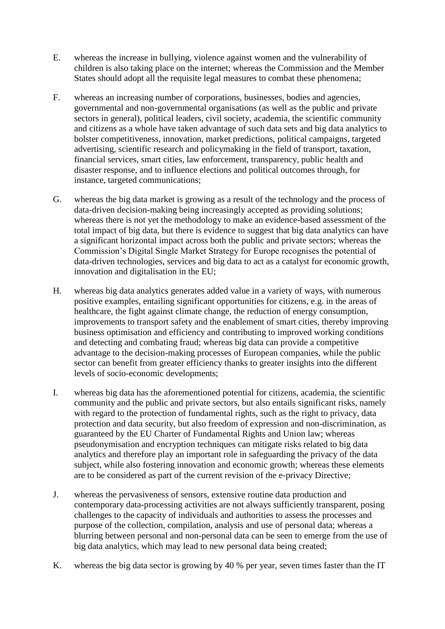- E. whereas the increase in bullying, violence against women and the vulnerability of children is also taking place on the internet; whereas the Commission and the Member States should adopt all the requisite legal measures to combat these phenomena;
- F. whereas an increasing number of corporations, businesses, bodies and agencies, governmental and non-governmental organisations (as well as the public and private sectors in general), political leaders, civil society, academia, the scientific community and citizens as a whole have taken advantage of such data sets and big data analytics to bolster competitiveness, innovation, market predictions, political campaigns, targeted advertising, scientific research and policymaking in the field of transport, taxation, financial services, smart cities, law enforcement, transparency, public health and disaster response, and to influence elections and political outcomes through, for instance, targeted communications;
- G. whereas the big data market is growing as a result of the technology and the process of data-driven decision-making being increasingly accepted as providing solutions; whereas there is not yet the methodology to make an evidence-based assessment of the total impact of big data, but there is evidence to suggest that big data analytics can have a significant horizontal impact across both the public and private sectors; whereas the Commission's Digital Single Market Strategy for Europe recognises the potential of data-driven technologies, services and big data to act as a catalyst for economic growth, innovation and digitalisation in the EU;
- H. whereas big data analytics generates added value in a variety of ways, with numerous positive examples, entailing significant opportunities for citizens, e.g. in the areas of healthcare, the fight against climate change, the reduction of energy consumption, improvements to transport safety and the enablement of smart cities, thereby improving business optimisation and efficiency and contributing to improved working conditions and detecting and combating fraud; whereas big data can provide a competitive advantage to the decision-making processes of European companies, while the public sector can benefit from greater efficiency thanks to greater insights into the different levels of socio-economic developments;
- I. whereas big data has the aforementioned potential for citizens, academia, the scientific community and the public and private sectors, but also entails significant risks, namely with regard to the protection of fundamental rights, such as the right to privacy, data protection and data security, but also freedom of expression and non-discrimination, as guaranteed by the EU Charter of Fundamental Rights and Union law; whereas pseudonymisation and encryption techniques can mitigate risks related to big data analytics and therefore play an important role in safeguarding the privacy of the data subject, while also fostering innovation and economic growth; whereas these elements are to be considered as part of the current revision of the e-privacy Directive;
- J. whereas the pervasiveness of sensors, extensive routine data production and contemporary data-processing activities are not always sufficiently transparent, posing challenges to the capacity of individuals and authorities to assess the processes and purpose of the collection, compilation, analysis and use of personal data; whereas a blurring between personal and non-personal data can be seen to emerge from the use of big data analytics, which may lead to new personal data being created;
- K. whereas the big data sector is growing by 40 % per year, seven times faster than the IT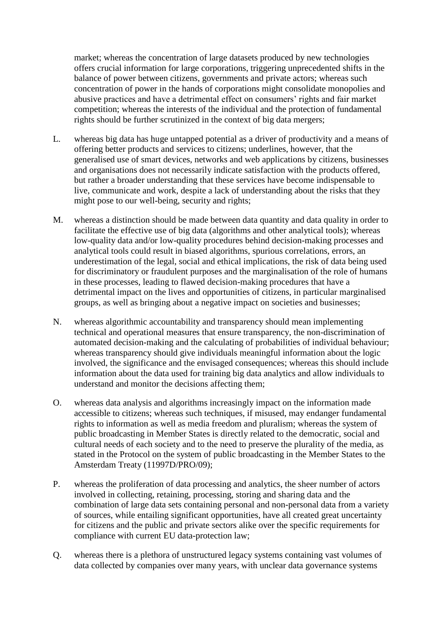market; whereas the concentration of large datasets produced by new technologies offers crucial information for large corporations, triggering unprecedented shifts in the balance of power between citizens, governments and private actors; whereas such concentration of power in the hands of corporations might consolidate monopolies and abusive practices and have a detrimental effect on consumers' rights and fair market competition; whereas the interests of the individual and the protection of fundamental rights should be further scrutinized in the context of big data mergers;

- L. whereas big data has huge untapped potential as a driver of productivity and a means of offering better products and services to citizens; underlines, however, that the generalised use of smart devices, networks and web applications by citizens, businesses and organisations does not necessarily indicate satisfaction with the products offered, but rather a broader understanding that these services have become indispensable to live, communicate and work, despite a lack of understanding about the risks that they might pose to our well-being, security and rights;
- M. whereas a distinction should be made between data quantity and data quality in order to facilitate the effective use of big data (algorithms and other analytical tools); whereas low-quality data and/or low-quality procedures behind decision-making processes and analytical tools could result in biased algorithms, spurious correlations, errors, an underestimation of the legal, social and ethical implications, the risk of data being used for discriminatory or fraudulent purposes and the marginalisation of the role of humans in these processes, leading to flawed decision-making procedures that have a detrimental impact on the lives and opportunities of citizens, in particular marginalised groups, as well as bringing about a negative impact on societies and businesses;
- N. whereas algorithmic accountability and transparency should mean implementing technical and operational measures that ensure transparency, the non-discrimination of automated decision-making and the calculating of probabilities of individual behaviour; whereas transparency should give individuals meaningful information about the logic involved, the significance and the envisaged consequences; whereas this should include information about the data used for training big data analytics and allow individuals to understand and monitor the decisions affecting them;
- O. whereas data analysis and algorithms increasingly impact on the information made accessible to citizens; whereas such techniques, if misused, may endanger fundamental rights to information as well as media freedom and pluralism; whereas the system of public broadcasting in Member States is directly related to the democratic, social and cultural needs of each society and to the need to preserve the plurality of the media, as stated in the Protocol on the system of public broadcasting in the Member States to the Amsterdam Treaty (11997D/PRO/09);
- P. whereas the proliferation of data processing and analytics, the sheer number of actors involved in collecting, retaining, processing, storing and sharing data and the combination of large data sets containing personal and non-personal data from a variety of sources, while entailing significant opportunities, have all created great uncertainty for citizens and the public and private sectors alike over the specific requirements for compliance with current EU data-protection law;
- Q. whereas there is a plethora of unstructured legacy systems containing vast volumes of data collected by companies over many years, with unclear data governance systems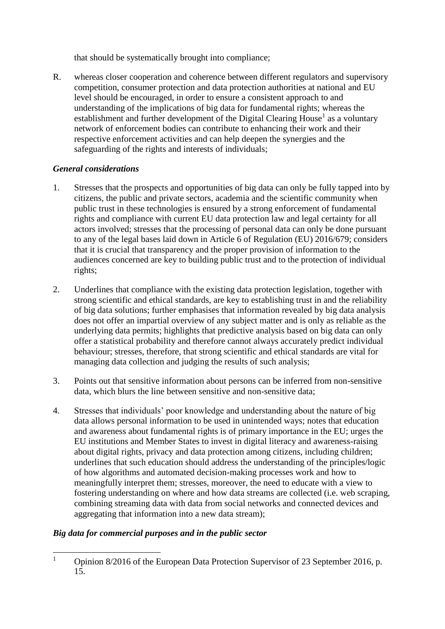that should be systematically brought into compliance;

R. whereas closer cooperation and coherence between different regulators and supervisory competition, consumer protection and data protection authorities at national and EU level should be encouraged, in order to ensure a consistent approach to and understanding of the implications of big data for fundamental rights; whereas the establishment and further development of the Digital Clearing House<sup>1</sup> as a voluntary network of enforcement bodies can contribute to enhancing their work and their respective enforcement activities and can help deepen the synergies and the safeguarding of the rights and interests of individuals;

## *General considerations*

- 1. Stresses that the prospects and opportunities of big data can only be fully tapped into by citizens, the public and private sectors, academia and the scientific community when public trust in these technologies is ensured by a strong enforcement of fundamental rights and compliance with current EU data protection law and legal certainty for all actors involved; stresses that the processing of personal data can only be done pursuant to any of the legal bases laid down in Article 6 of Regulation (EU) 2016/679; considers that it is crucial that transparency and the proper provision of information to the audiences concerned are key to building public trust and to the protection of individual rights;
- 2. Underlines that compliance with the existing data protection legislation, together with strong scientific and ethical standards, are key to establishing trust in and the reliability of big data solutions; further emphasises that information revealed by big data analysis does not offer an impartial overview of any subject matter and is only as reliable as the underlying data permits; highlights that predictive analysis based on big data can only offer a statistical probability and therefore cannot always accurately predict individual behaviour; stresses, therefore, that strong scientific and ethical standards are vital for managing data collection and judging the results of such analysis;
- 3. Points out that sensitive information about persons can be inferred from non-sensitive data, which blurs the line between sensitive and non-sensitive data;
- 4. Stresses that individuals' poor knowledge and understanding about the nature of big data allows personal information to be used in unintended ways; notes that education and awareness about fundamental rights is of primary importance in the EU; urges the EU institutions and Member States to invest in digital literacy and awareness-raising about digital rights, privacy and data protection among citizens, including children; underlines that such education should address the understanding of the principles/logic of how algorithms and automated decision-making processes work and how to meaningfully interpret them; stresses, moreover, the need to educate with a view to fostering understanding on where and how data streams are collected (i.e. web scraping, combining streaming data with data from social networks and connected devices and aggregating that information into a new data stream);

## *Big data for commercial purposes and in the public sector*

 $\mathbf{1}$ <sup>1</sup> Opinion 8/2016 of the European Data Protection Supervisor of 23 September 2016, p. 15.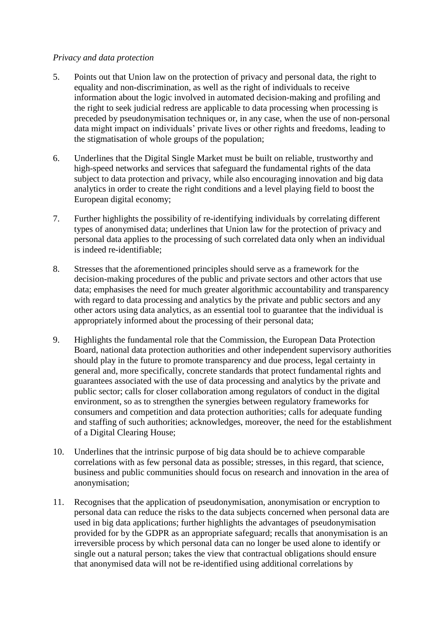#### *Privacy and data protection*

- 5. Points out that Union law on the protection of privacy and personal data, the right to equality and non-discrimination, as well as the right of individuals to receive information about the logic involved in automated decision-making and profiling and the right to seek judicial redress are applicable to data processing when processing is preceded by pseudonymisation techniques or, in any case, when the use of non-personal data might impact on individuals' private lives or other rights and freedoms, leading to the stigmatisation of whole groups of the population;
- 6. Underlines that the Digital Single Market must be built on reliable, trustworthy and high-speed networks and services that safeguard the fundamental rights of the data subject to data protection and privacy, while also encouraging innovation and big data analytics in order to create the right conditions and a level playing field to boost the European digital economy;
- 7. Further highlights the possibility of re-identifying individuals by correlating different types of anonymised data; underlines that Union law for the protection of privacy and personal data applies to the processing of such correlated data only when an individual is indeed re-identifiable;
- 8. Stresses that the aforementioned principles should serve as a framework for the decision-making procedures of the public and private sectors and other actors that use data; emphasises the need for much greater algorithmic accountability and transparency with regard to data processing and analytics by the private and public sectors and any other actors using data analytics, as an essential tool to guarantee that the individual is appropriately informed about the processing of their personal data;
- 9. Highlights the fundamental role that the Commission, the European Data Protection Board, national data protection authorities and other independent supervisory authorities should play in the future to promote transparency and due process, legal certainty in general and, more specifically, concrete standards that protect fundamental rights and guarantees associated with the use of data processing and analytics by the private and public sector; calls for closer collaboration among regulators of conduct in the digital environment, so as to strengthen the synergies between regulatory frameworks for consumers and competition and data protection authorities; calls for adequate funding and staffing of such authorities; acknowledges, moreover, the need for the establishment of a Digital Clearing House;
- 10. Underlines that the intrinsic purpose of big data should be to achieve comparable correlations with as few personal data as possible; stresses, in this regard, that science, business and public communities should focus on research and innovation in the area of anonymisation;
- 11. Recognises that the application of pseudonymisation, anonymisation or encryption to personal data can reduce the risks to the data subjects concerned when personal data are used in big data applications; further highlights the advantages of pseudonymisation provided for by the GDPR as an appropriate safeguard; recalls that anonymisation is an irreversible process by which personal data can no longer be used alone to identify or single out a natural person; takes the view that contractual obligations should ensure that anonymised data will not be re-identified using additional correlations by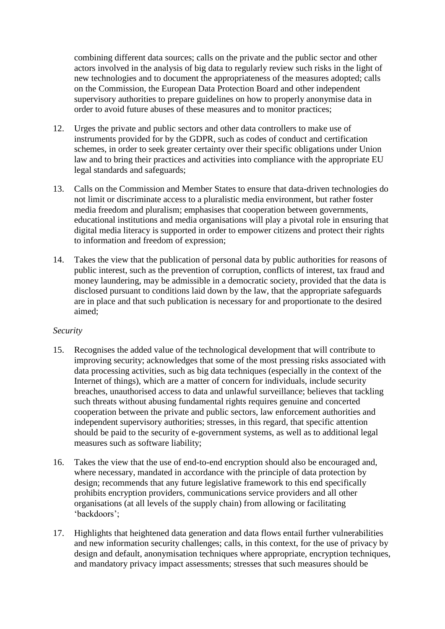combining different data sources; calls on the private and the public sector and other actors involved in the analysis of big data to regularly review such risks in the light of new technologies and to document the appropriateness of the measures adopted; calls on the Commission, the European Data Protection Board and other independent supervisory authorities to prepare guidelines on how to properly anonymise data in order to avoid future abuses of these measures and to monitor practices;

- 12. Urges the private and public sectors and other data controllers to make use of instruments provided for by the GDPR, such as codes of conduct and certification schemes, in order to seek greater certainty over their specific obligations under Union law and to bring their practices and activities into compliance with the appropriate EU legal standards and safeguards;
- 13. Calls on the Commission and Member States to ensure that data-driven technologies do not limit or discriminate access to a pluralistic media environment, but rather foster media freedom and pluralism; emphasises that cooperation between governments, educational institutions and media organisations will play a pivotal role in ensuring that digital media literacy is supported in order to empower citizens and protect their rights to information and freedom of expression;
- 14. Takes the view that the publication of personal data by public authorities for reasons of public interest, such as the prevention of corruption, conflicts of interest, tax fraud and money laundering, may be admissible in a democratic society, provided that the data is disclosed pursuant to conditions laid down by the law, that the appropriate safeguards are in place and that such publication is necessary for and proportionate to the desired aimed;

#### *Security*

- 15. Recognises the added value of the technological development that will contribute to improving security; acknowledges that some of the most pressing risks associated with data processing activities, such as big data techniques (especially in the context of the Internet of things), which are a matter of concern for individuals, include security breaches, unauthorised access to data and unlawful surveillance; believes that tackling such threats without abusing fundamental rights requires genuine and concerted cooperation between the private and public sectors, law enforcement authorities and independent supervisory authorities; stresses, in this regard, that specific attention should be paid to the security of e-government systems, as well as to additional legal measures such as software liability;
- 16. Takes the view that the use of end-to-end encryption should also be encouraged and, where necessary, mandated in accordance with the principle of data protection by design; recommends that any future legislative framework to this end specifically prohibits encryption providers, communications service providers and all other organisations (at all levels of the supply chain) from allowing or facilitating 'backdoors';
- 17. Highlights that heightened data generation and data flows entail further vulnerabilities and new information security challenges; calls, in this context, for the use of privacy by design and default, anonymisation techniques where appropriate, encryption techniques, and mandatory privacy impact assessments; stresses that such measures should be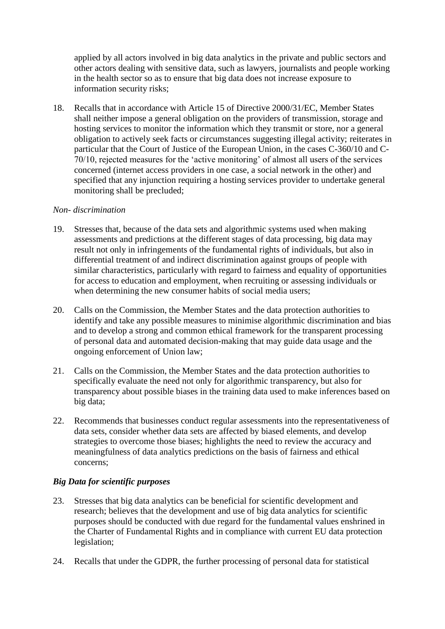applied by all actors involved in big data analytics in the private and public sectors and other actors dealing with sensitive data, such as lawyers, journalists and people working in the health sector so as to ensure that big data does not increase exposure to information security risks;

18. Recalls that in accordance with Article 15 of Directive 2000/31/EC, Member States shall neither impose a general obligation on the providers of transmission, storage and hosting services to monitor the information which they transmit or store, nor a general obligation to actively seek facts or circumstances suggesting illegal activity; reiterates in particular that the Court of Justice of the European Union, in the cases C-360/10 and C-70/10, rejected measures for the 'active monitoring' of almost all users of the services concerned (internet access providers in one case, a social network in the other) and specified that any injunction requiring a hosting services provider to undertake general monitoring shall be precluded;

#### *Non- discrimination*

- 19. Stresses that, because of the data sets and algorithmic systems used when making assessments and predictions at the different stages of data processing, big data may result not only in infringements of the fundamental rights of individuals, but also in differential treatment of and indirect discrimination against groups of people with similar characteristics, particularly with regard to fairness and equality of opportunities for access to education and employment, when recruiting or assessing individuals or when determining the new consumer habits of social media users:
- 20. Calls on the Commission, the Member States and the data protection authorities to identify and take any possible measures to minimise algorithmic discrimination and bias and to develop a strong and common ethical framework for the transparent processing of personal data and automated decision-making that may guide data usage and the ongoing enforcement of Union law;
- 21. Calls on the Commission, the Member States and the data protection authorities to specifically evaluate the need not only for algorithmic transparency, but also for transparency about possible biases in the training data used to make inferences based on big data;
- 22. Recommends that businesses conduct regular assessments into the representativeness of data sets, consider whether data sets are affected by biased elements, and develop strategies to overcome those biases; highlights the need to review the accuracy and meaningfulness of data analytics predictions on the basis of fairness and ethical concerns;

#### *Big Data for scientific purposes*

- 23. Stresses that big data analytics can be beneficial for scientific development and research; believes that the development and use of big data analytics for scientific purposes should be conducted with due regard for the fundamental values enshrined in the Charter of Fundamental Rights and in compliance with current EU data protection legislation;
- 24. Recalls that under the GDPR, the further processing of personal data for statistical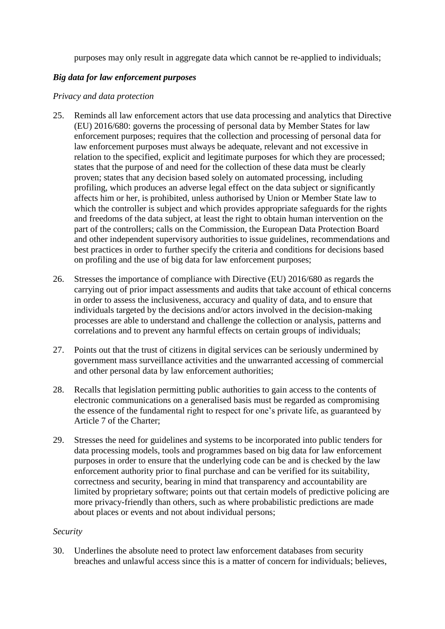purposes may only result in aggregate data which cannot be re-applied to individuals;

#### *Big data for law enforcement purposes*

#### *Privacy and data protection*

- 25. Reminds all law enforcement actors that use data processing and analytics that Directive (EU) 2016/680: governs the processing of personal data by Member States for law enforcement purposes; requires that the collection and processing of personal data for law enforcement purposes must always be adequate, relevant and not excessive in relation to the specified, explicit and legitimate purposes for which they are processed; states that the purpose of and need for the collection of these data must be clearly proven; states that any decision based solely on automated processing, including profiling, which produces an adverse legal effect on the data subject or significantly affects him or her, is prohibited, unless authorised by Union or Member State law to which the controller is subject and which provides appropriate safeguards for the rights and freedoms of the data subject, at least the right to obtain human intervention on the part of the controllers; calls on the Commission, the European Data Protection Board and other independent supervisory authorities to issue guidelines, recommendations and best practices in order to further specify the criteria and conditions for decisions based on profiling and the use of big data for law enforcement purposes;
- 26. Stresses the importance of compliance with Directive (EU) 2016/680 as regards the carrying out of prior impact assessments and audits that take account of ethical concerns in order to assess the inclusiveness, accuracy and quality of data, and to ensure that individuals targeted by the decisions and/or actors involved in the decision-making processes are able to understand and challenge the collection or analysis, patterns and correlations and to prevent any harmful effects on certain groups of individuals;
- 27. Points out that the trust of citizens in digital services can be seriously undermined by government mass surveillance activities and the unwarranted accessing of commercial and other personal data by law enforcement authorities;
- 28. Recalls that legislation permitting public authorities to gain access to the contents of electronic communications on a generalised basis must be regarded as compromising the essence of the fundamental right to respect for one's private life, as guaranteed by Article 7 of the Charter;
- 29. Stresses the need for guidelines and systems to be incorporated into public tenders for data processing models, tools and programmes based on big data for law enforcement purposes in order to ensure that the underlying code can be and is checked by the law enforcement authority prior to final purchase and can be verified for its suitability, correctness and security, bearing in mind that transparency and accountability are limited by proprietary software; points out that certain models of predictive policing are more privacy-friendly than others, such as where probabilistic predictions are made about places or events and not about individual persons;

#### *Security*

30. Underlines the absolute need to protect law enforcement databases from security breaches and unlawful access since this is a matter of concern for individuals; believes,